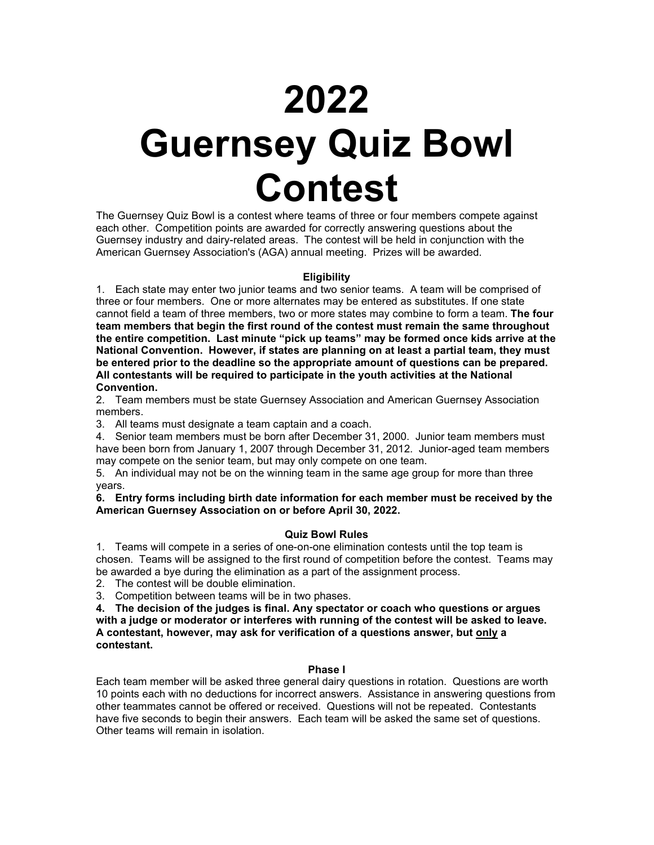# **2022 Guernsey Quiz Bowl Contest**

The Guernsey Quiz Bowl is a contest where teams of three or four members compete against each other. Competition points are awarded for correctly answering questions about the Guernsey industry and dairy-related areas. The contest will be held in conjunction with the American Guernsey Association's (AGA) annual meeting. Prizes will be awarded.

### **Eligibility**

1. Each state may enter two junior teams and two senior teams. A team will be comprised of three or four members. One or more alternates may be entered as substitutes. If one state cannot field a team of three members, two or more states may combine to form a team. **The four team members that begin the first round of the contest must remain the same throughout the entire competition. Last minute "pick up teams" may be formed once kids arrive at the National Convention. However, if states are planning on at least a partial team, they must be entered prior to the deadline so the appropriate amount of questions can be prepared. All contestants will be required to participate in the youth activities at the National Convention.**

2. Team members must be state Guernsey Association and American Guernsey Association members.

3. All teams must designate a team captain and a coach.

4. Senior team members must be born after December 31, 2000. Junior team members must have been born from January 1, 2007 through December 31, 2012. Junior-aged team members may compete on the senior team, but may only compete on one team.

5. An individual may not be on the winning team in the same age group for more than three years.

**6. Entry forms including birth date information for each member must be received by the American Guernsey Association on or before April 30, 2022.**

### **Quiz Bowl Rules**

1. Teams will compete in a series of one-on-one elimination contests until the top team is chosen. Teams will be assigned to the first round of competition before the contest. Teams may be awarded a bye during the elimination as a part of the assignment process.

2. The contest will be double elimination.

3. Competition between teams will be in two phases.

**4. The decision of the judges is final. Any spectator or coach who questions or argues with a judge or moderator or interferes with running of the contest will be asked to leave. A contestant, however, may ask for verification of a questions answer, but only a contestant.** 

### **Phase I**

Each team member will be asked three general dairy questions in rotation. Questions are worth 10 points each with no deductions for incorrect answers. Assistance in answering questions from other teammates cannot be offered or received. Questions will not be repeated. Contestants have five seconds to begin their answers. Each team will be asked the same set of questions. Other teams will remain in isolation.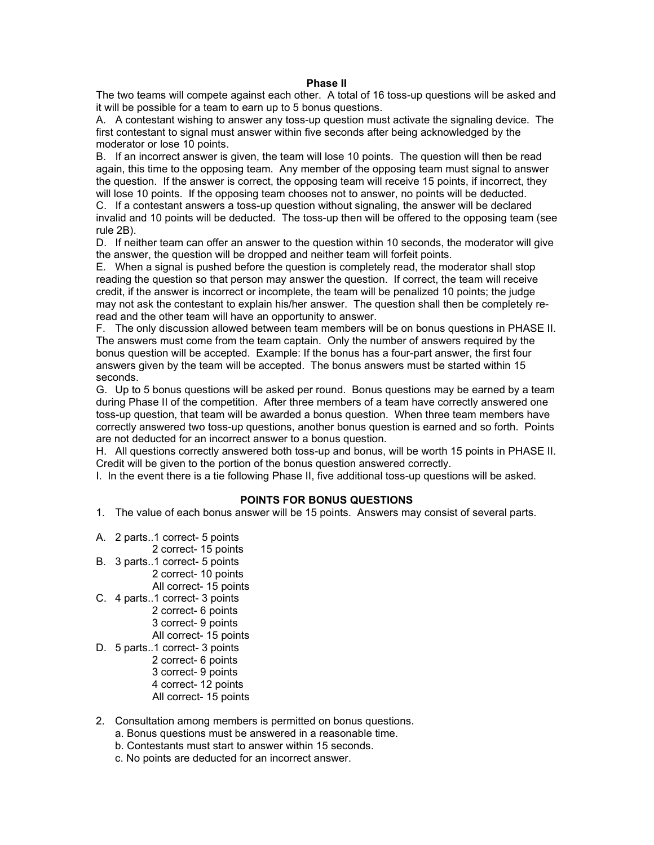#### **Phase II**

The two teams will compete against each other. A total of 16 toss-up questions will be asked and it will be possible for a team to earn up to 5 bonus questions.

A. A contestant wishing to answer any toss-up question must activate the signaling device. The first contestant to signal must answer within five seconds after being acknowledged by the moderator or lose 10 points.

B. If an incorrect answer is given, the team will lose 10 points. The question will then be read again, this time to the opposing team. Any member of the opposing team must signal to answer the question. If the answer is correct, the opposing team will receive 15 points, if incorrect, they will lose 10 points. If the opposing team chooses not to answer, no points will be deducted.

C. If a contestant answers a toss-up question without signaling, the answer will be declared invalid and 10 points will be deducted. The toss-up then will be offered to the opposing team (see rule 2B).

D. If neither team can offer an answer to the question within 10 seconds, the moderator will give the answer, the question will be dropped and neither team will forfeit points.

E. When a signal is pushed before the question is completely read, the moderator shall stop reading the question so that person may answer the question. If correct, the team will receive credit, if the answer is incorrect or incomplete, the team will be penalized 10 points; the judge may not ask the contestant to explain his/her answer. The question shall then be completely reread and the other team will have an opportunity to answer.

F. The only discussion allowed between team members will be on bonus questions in PHASE II. The answers must come from the team captain. Only the number of answers required by the bonus question will be accepted. Example: If the bonus has a four-part answer, the first four answers given by the team will be accepted. The bonus answers must be started within 15 seconds.

G. Up to 5 bonus questions will be asked per round. Bonus questions may be earned by a team during Phase II of the competition. After three members of a team have correctly answered one toss-up question, that team will be awarded a bonus question. When three team members have correctly answered two toss-up questions, another bonus question is earned and so forth. Points are not deducted for an incorrect answer to a bonus question.

H. All questions correctly answered both toss-up and bonus, will be worth 15 points in PHASE II. Credit will be given to the portion of the bonus question answered correctly.

I. In the event there is a tie following Phase II, five additional toss-up questions will be asked.

#### **POINTS FOR BONUS QUESTIONS**

- 1. The value of each bonus answer will be 15 points. Answers may consist of several parts.
- A. 2 parts..1 correct- 5 points
	- 2 correct- 15 points
- B. 3 parts..1 correct- 5 points 2 correct- 10 points All correct- 15 points
- C. 4 parts..1 correct- 3 points 2 correct- 6 points 3 correct- 9 points All correct- 15 points
- D. 5 parts..1 correct- 3 points 2 correct- 6 points
	- 3 correct- 9 points 4 correct- 12 points All correct- 15 points
- 2. Consultation among members is permitted on bonus questions.
	- a. Bonus questions must be answered in a reasonable time.
	- b. Contestants must start to answer within 15 seconds.
	- c. No points are deducted for an incorrect answer.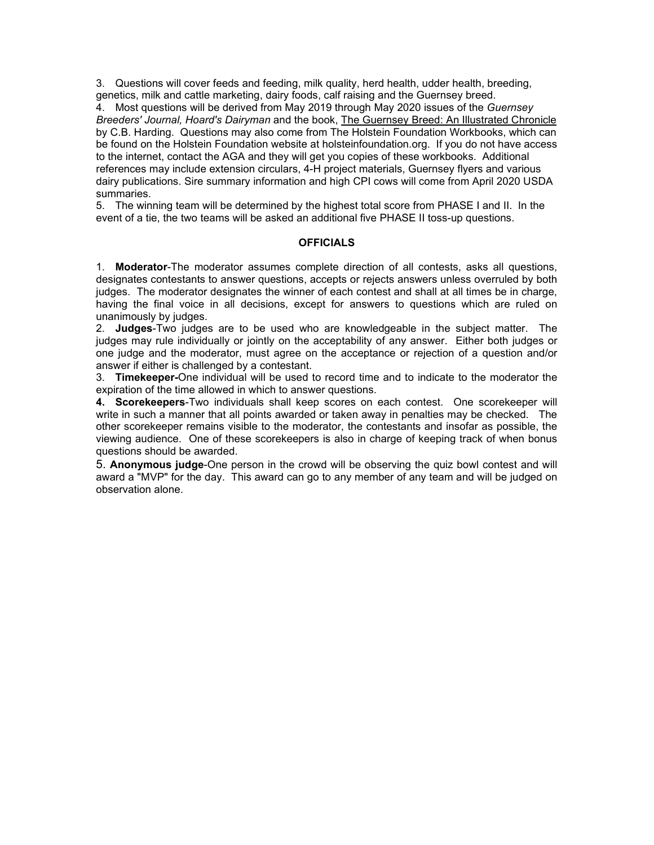3. Questions will cover feeds and feeding, milk quality, herd health, udder health, breeding, genetics, milk and cattle marketing, dairy foods, calf raising and the Guernsey breed.

4. Most questions will be derived from May 2019 through May 2020 issues of the *Guernsey Breeders' Journal, Hoard's Dairyman* and the book, The Guernsey Breed: An Illustrated Chronicle by C.B. Harding. Questions may also come from The Holstein Foundation Workbooks, which can be found on the Holstein Foundation website at holsteinfoundation.org. If you do not have access to the internet, contact the AGA and they will get you copies of these workbooks. Additional references may include extension circulars, 4-H project materials, Guernsey flyers and various dairy publications. Sire summary information and high CPI cows will come from April 2020 USDA summaries.

5. The winning team will be determined by the highest total score from PHASE I and II. In the event of a tie, the two teams will be asked an additional five PHASE II toss-up questions.

### **OFFICIALS**

1. **Moderator**-The moderator assumes complete direction of all contests, asks all questions, designates contestants to answer questions, accepts or rejects answers unless overruled by both judges. The moderator designates the winner of each contest and shall at all times be in charge, having the final voice in all decisions, except for answers to questions which are ruled on unanimously by judges.

2. **Judges**-Two judges are to be used who are knowledgeable in the subject matter. The judges may rule individually or jointly on the acceptability of any answer. Either both judges or one judge and the moderator, must agree on the acceptance or rejection of a question and/or answer if either is challenged by a contestant.

3. **Timekeeper-**One individual will be used to record time and to indicate to the moderator the expiration of the time allowed in which to answer questions.

**4. Scorekeepers**-Two individuals shall keep scores on each contest. One scorekeeper will write in such a manner that all points awarded or taken away in penalties may be checked. The other scorekeeper remains visible to the moderator, the contestants and insofar as possible, the viewing audience. One of these scorekeepers is also in charge of keeping track of when bonus questions should be awarded.

5. **Anonymous judge**-One person in the crowd will be observing the quiz bowl contest and will award a "MVP" for the day. This award can go to any member of any team and will be judged on observation alone.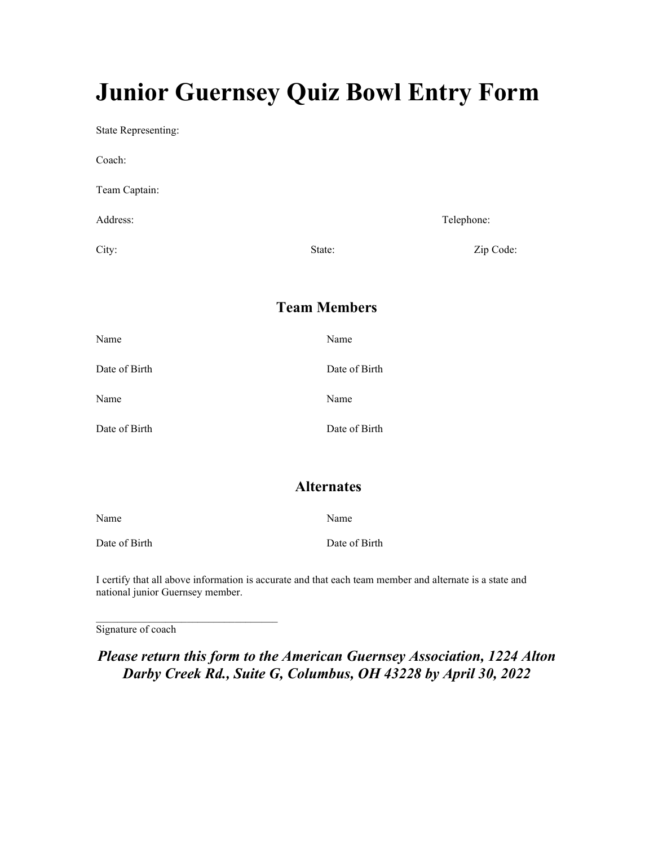# **Junior Guernsey Quiz Bowl Entry Form**

State Representing:

| Coach:        |        |            |
|---------------|--------|------------|
| Team Captain: |        |            |
| Address:      |        | Telephone: |
| City:         | State: | Zip Code:  |

# **Team Members**

| Name          | Name          |
|---------------|---------------|
| Date of Birth | Date of Birth |
| Name          | Name          |
| Date of Birth | Date of Birth |

### **Alternates**

| Name          | Name          |
|---------------|---------------|
| Date of Birth | Date of Birth |

I certify that all above information is accurate and that each team member and alternate is a state and national junior Guernsey member.

Signature of coach

\_\_\_\_\_\_\_\_\_\_\_\_\_\_\_\_\_\_\_\_\_\_\_\_\_\_\_\_\_\_\_\_\_\_

*Please return this form to the American Guernsey Association, 1224 Alton Darby Creek Rd., Suite G, Columbus, OH 43228 by April 30, 2022*